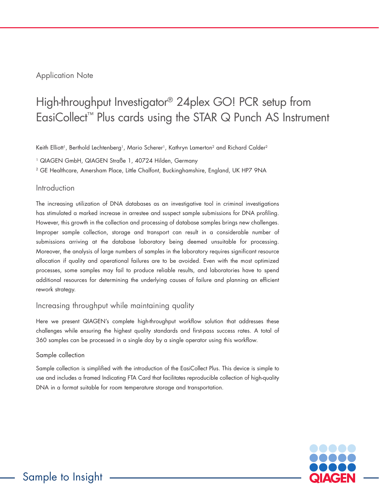# Application Note

# High-throughput Investigator® 24plex GO! PCR setup from EasiCollect™ Plus cards using the STAR Q Punch AS Instrument

Keith Elliott<sup>1</sup>, Berthold Lechtenberg<sup>1</sup>, Mario Scherer<sup>1</sup>, Kathryn Lamerton<sup>2</sup> and Richard Calder<sup>2</sup>

1 QIAGEN GmbH, QIAGEN Straße 1, 40724 Hilden, Germany

2 GE Healthcare, Amersham Place, Little Chalfont, Buckinghamshire, England, UK HP7 9NA

## Introduction

The increasing utilization of DNA databases as an investigative tool in criminal investigations has stimulated a marked increase in arrestee and suspect sample submissions for DNA profiling. However, this growth in the collection and processing of database samples brings new challenges. Improper sample collection, storage and transport can result in a considerable number of submissions arriving at the database laboratory being deemed unsuitable for processing. Moreover, the analysis of large numbers of samples in the laboratory requires significant resource allocation if quality and operational failures are to be avoided. Even with the most optimized processes, some samples may fail to produce reliable results, and laboratories have to spend additional resources for determining the underlying causes of failure and planning an efficient rework strategy.

## Increasing throughput while maintaining quality

Here we present QIAGEN's complete high-throughput workflow solution that addresses these challenges while ensuring the highest quality standards and first-pass success rates. A total of 360 samples can be processed in a single day by a single operator using this workflow.

#### Sample collection

Sample collection is simplified with the introduction of the EasiCollect Plus. This device is simple to use and includes a framed Indicating FTA Card that facilitates reproducible collection of high-quality DNA in a format suitable for room temperature storage and transportation.

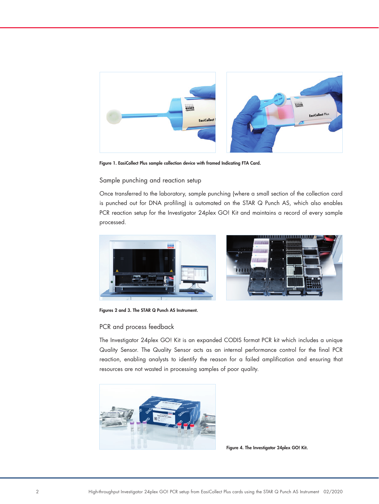

Figure 1. EasiCollect Plus sample collection device with framed Indicating FTA Card.

## Sample punching and reaction setup

Once transferred to the laboratory, sample punching (where a small section of the collection card is punched out for DNA profiling) is automated on the STAR Q Punch AS, which also enables PCR reaction setup for the Investigator 24plex GO! Kit and maintains a record of every sample processed.



Figures 2 and 3. The STAR Q Punch AS Instrument.

## PCR and process feedback

The Investigator 24plex GO! Kit is an expanded CODIS format PCR kit which includes a unique Quality Sensor. The Quality Sensor acts as an internal performance control for the final PCR reaction, enabling analysts to identify the reason for a failed amplification and ensuring that resources are not wasted in processing samples of poor quality.



Figure 4. The Investigator 24plex GO! Kit.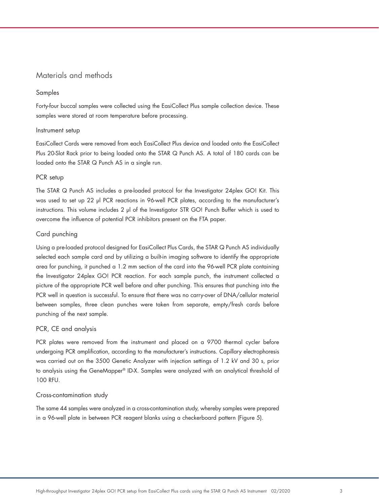# Materials and methods

#### Samples

Forty-four buccal samples were collected using the EasiCollect Plus sample collection device. These samples were stored at room temperature before processing.

#### Instrument setup

EasiCollect Cards were removed from each EasiCollect Plus device and loaded onto the EasiCollect Plus 20-Slot Rack prior to being loaded onto the STAR Q Punch AS. A total of 180 cards can be loaded onto the STAR Q Punch AS in a single run.

#### PCR setup

The STAR Q Punch AS includes a pre-loaded protocol for the Investigator 24plex GO! Kit. This was used to set up 22 µl PCR reactions in 96-well PCR plates, according to the manufacturer's instructions. This volume includes 2 µl of the Investigator STR GO! Punch Buffer which is used to overcome the influence of potential PCR inhibitors present on the FTA paper.

#### Card punching

Using a pre-loaded protocol designed for EasiCollect Plus Cards, the STAR Q Punch AS individually selected each sample card and by utilizing a built-in imaging software to identify the appropriate area for punching, it punched a 1.2 mm section of the card into the 96-well PCR plate containing the Investigator 24plex GO! PCR reaction. For each sample punch, the instrument collected a picture of the appropriate PCR well before and after punching. This ensures that punching into the PCR well in question is successful. To ensure that there was no carry-over of DNA/cellular material between samples, three clean punches were taken from separate, empty/fresh cards before punching of the next sample.

#### PCR, CE and analysis

PCR plates were removed from the instrument and placed on a 9700 thermal cycler before undergoing PCR amplification, according to the manufacturer's instructions. Capillary electrophoresis was carried out on the 3500 Genetic Analyzer with injection settings of 1.2 kV and 30 s, prior to analysis using the GeneMapper® ID-X. Samples were analyzed with an analytical threshold of 100 RFU.

#### Cross-contamination study

The same 44 samples were analyzed in a cross-contamination study, whereby samples were prepared in a 96-well plate in between PCR reagent blanks using a checkerboard pattern (Figure 5).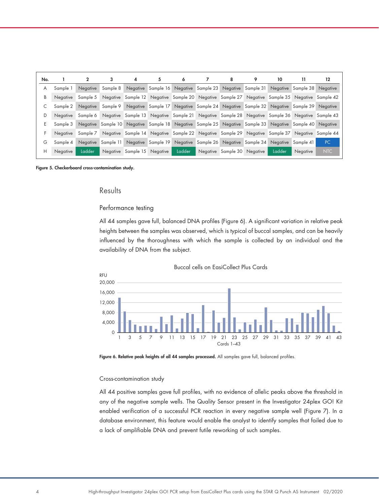| No. |          |                 | 3                  | 4                           | 5                  | 6      |                                                                                                | 8 | 9 | 10     | 11       | 12  |
|-----|----------|-----------------|--------------------|-----------------------------|--------------------|--------|------------------------------------------------------------------------------------------------|---|---|--------|----------|-----|
| A   | Sample 1 | <b>Negative</b> | Sample 8           |                             |                    |        | Negative Sample 16 Negative Sample 23 Negative Sample 31 Negative Sample 38 Negative           |   |   |        |          |     |
| В   | Negative | Sample 5        |                    |                             |                    |        | Negative Sample 12 Negative Sample 20 Negative Sample 27 Negative Sample 35 Negative Sample 42 |   |   |        |          |     |
|     | Sample 2 | Negative        | Sample 9           |                             |                    |        | Negative Sample 17 Negative Sample 24 Negative Sample 32 Negative Sample 39 Negative           |   |   |        |          |     |
| D   | Negative | Sample 6        |                    |                             |                    |        | Negative Sample 13 Negative Sample 21 Negative Sample 28 Negative Sample 36 Negative Sample 43 |   |   |        |          |     |
| E.  | Sample 3 |                 | Negative Sample 10 |                             |                    |        | Negative Sample 18 Negative Sample 25 Negative Sample 33 Negative Sample 40 Negative           |   |   |        |          |     |
| F   | Negative | Sample 7        |                    |                             |                    |        | Negative Sample 14 Negative Sample 22 Negative Sample 29 Negative Sample 37 Negative Sample 44 |   |   |        |          |     |
| G   | Sample 4 | Negative        | Sample 11          |                             | Negative Sample 19 |        | Negative Sample 26 Negative Sample 34 Negative Sample 41                                       |   |   |        |          | PC  |
| H.  | Negative | Ladder          |                    | Negative Sample 15 Negative |                    | Ladder | Negative Sample 30 Negative                                                                    |   |   | Ladder | Negative | NTC |

Figure 5. Checkerboard cross-contamination study.

## Results

#### Performance testing

All 44 samples gave full, balanced DNA profiles (Figure 6). A significant variation in relative peak heights between the samples was observed, which is typical of buccal samples, and can be heavily influenced by the thoroughness with which the sample is collected by an individual and the availability of DNA from the subject.



Buccal cells on EasiCollect Plus Cards

Figure 6. Relative peak heights of all 44 samples processed. All samples gave full, balanced profiles.

#### Cross-contamination study

All 44 positive samples gave full profiles, with no evidence of allelic peaks above the threshold in any of the negative sample wells. The Quality Sensor present in the Investigator 24plex GO! Kit enabled verification of a successful PCR reaction in every negative sample well (Figure 7). In a database environment, this feature would enable the analyst to identify samples that failed due to a lack of amplifiable DNA and prevent futile reworking of such samples.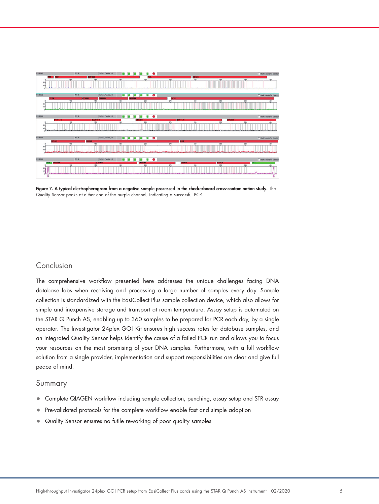

Figure 7. A typical electropherogram from a negative sample processed in the checkerboard cross-contamination study. The Quality Sensor peaks at either end of the purple channel, indicating a successful PCR.

# Conclusion

The comprehensive workflow presented here addresses the unique challenges facing DNA database labs when receiving and processing a large number of samples every day. Sample collection is standardized with the EasiCollect Plus sample collection device, which also allows for simple and inexpensive storage and transport at room temperature. Assay setup is automated on the STAR Q Punch AS, enabling up to 360 samples to be prepared for PCR each day, by a single operator. The Investigator 24plex GO! Kit ensures high success rates for database samples, and an integrated Quality Sensor helps identify the cause of a failed PCR run and allows you to focus your resources on the most promising of your DNA samples. Furthermore, with a full workflow solution from a single provider, implementation and support responsibilities are clear and give full peace of mind.

## Summary

- Complete QIAGEN workflow including sample collection, punching, assay setup and STR assay
- Pre-validated protocols for the complete workflow enable fast and simple adoption
- Quality Sensor ensures no futile reworking of poor quality samples